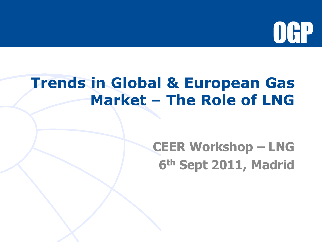

### **Trends in Global & European Gas Market – The Role of LNG**

### **CEER Workshop – LNG 6th Sept 2011, Madrid**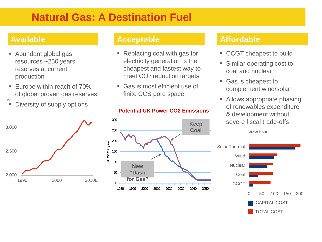### **Natural Gas: A Destination Fuel**

- Abundant global gas resources ~250 years reserves at current production
- **Europe within reach of 70%** of global proven gas reserves
- **BCM** 
	- Diversity of supply options



- Replacing coal with gas for electricity generation is the cheapest and fastest way to meet CO2 reduction targets
- Gas is most efficient use of finite CCS pore space

#### $\Omega$ 50 100 150 200 250 300 1980 1990 2000 2010 2020 2030 2040 2050 2060 2070 Mt CO2 / year **New "Dash for Gas" Keep Coal**

#### **Available Acceptable Affordable**

- **CCGT** cheapest to build
- **Similar operating cost to** coal and nuclear
- Gas is cheapest to complement wind/solar
- **Allows appropriate phasing** of renewables expenditure & development without severe fiscal trade-offs

\$/MW hour



#### **UK - Electricity CO2 emissions - Case 1 v Case 2 Potential UK Power CO2 Emissions**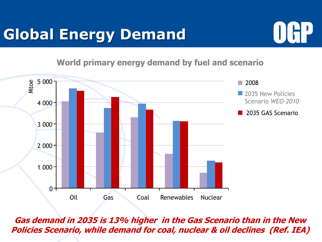# **Global Energy Demand**



**World primary energy demand by fuel and scenario**



**Gas demand in 2035 is 13% higher in the Gas Scenario than in the New Policies Scenario, while demand for coal, nuclear & oil declines (Ref. IEA)**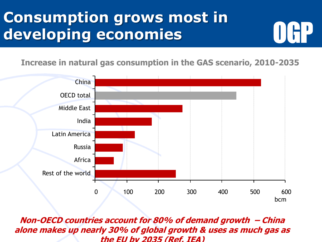## **Consumption grows most in developing economies**

**Increase in natural gas consumption in the GAS scenario, 2010-2035**



**Non-OECD countries account for 80% of demand growth – China alone makes up nearly 30% of global growth & uses as much gas as the EU by 2035 (Ref. IEA)**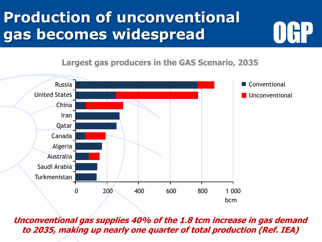# **Production of unconventional gas becomes widespread**



**Largest gas producers in the GAS Scenario, 2035**



**Unconventional gas supplies 40% of the 1.8 tcm increase in gas demand to 2035, making up nearly one quarter of total production (Ref. IEA)**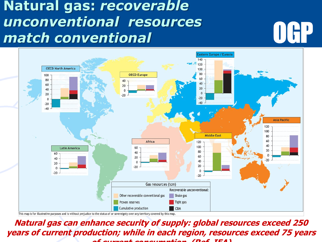### **Natural gas:** *recoverable unconventional resources match conventional*





This map is for illustrative purposes and is without prejudice to the status of or sovereignty over any territory covered by this map.

**Natural gas can enhance security of supply: global resources exceed 250 years of current production; while in each region, resources exceed 75 years of current consumption (Ref. IEA)**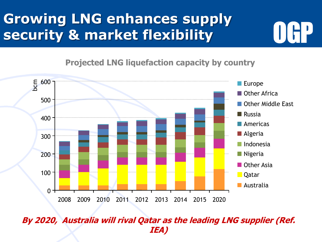### **Growing LNG enhances supply security & market flexibility**

**Projected LNG liquefaction capacity by country**



#### **By 2020, Australia will rival Qatar as the leading LNG supplier (Ref. IEA)**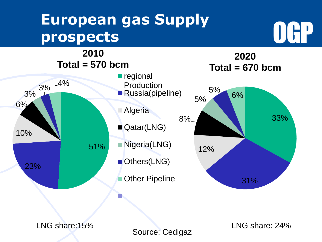# **European gas Supply prospects**





Source: Cedigaz

LNG share:15% LNG share: 24%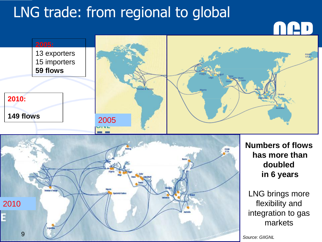# LNG trade: from regional to global





**Numbers of flows has more than doubled in 6 years** 

LNG brings more flexibility and integration to gas markets

*Source: GIIGNL*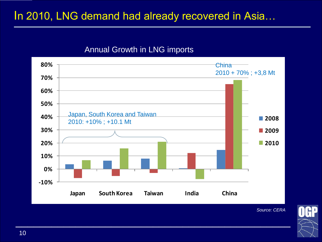### In 2010, LNG demand had already recovered in Asia...

#### Annual Growth in LNG imports



 $\mathcal{L}_\text{max}$  and the contract of the contract of the contract of the contract of the contract of the contract of the contract of the contract of the contract of the contract of the contract of the contract of the contrac

*Source: CERA*

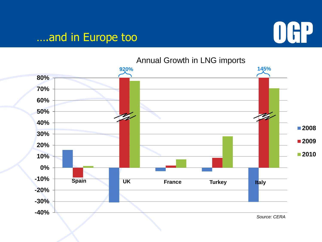### ….and in Europe too



Annual Growth in LNG imports

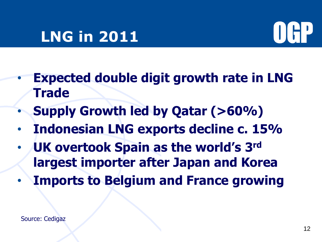### **LNG in 2011**



- **Expected double digit growth rate in LNG Trade**
- **Supply Growth led by Qatar (>60%)**
- **Indonesian LNG exports decline c. 15%**
- **UK overtook Spain as the world's 3rd largest importer after Japan and Korea**
- **Imports to Belgium and France growing**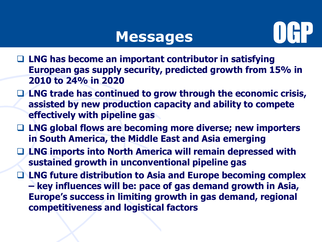### **Messages**



- **LNG has become an important contributor in satisfying European gas supply security, predicted growth from 15% in 2010 to 24% in 2020**
- **LNG trade has continued to grow through the economic crisis, assisted by new production capacity and ability to compete effectively with pipeline gas**
- **LNG global flows are becoming more diverse; new importers in South America, the Middle East and Asia emerging**
- **LNG imports into North America will remain depressed with sustained growth in unconventional pipeline gas**
- **LNG future distribution to Asia and Europe becoming complex – key influences will be: pace of gas demand growth in Asia, Europe's success in limiting growth in gas demand, regional competitiveness and logistical factors**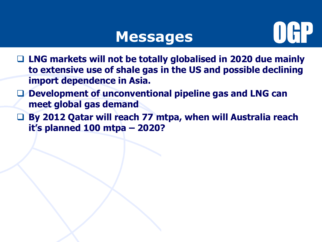### **Messages**



- **LNG markets will not be totally globalised in 2020 due mainly to extensive use of shale gas in the US and possible declining import dependence in Asia.**
- **Development of unconventional pipeline gas and LNG can meet global gas demand**
- **By 2012 Qatar will reach 77 mtpa, when will Australia reach it's planned 100 mtpa – 2020?**